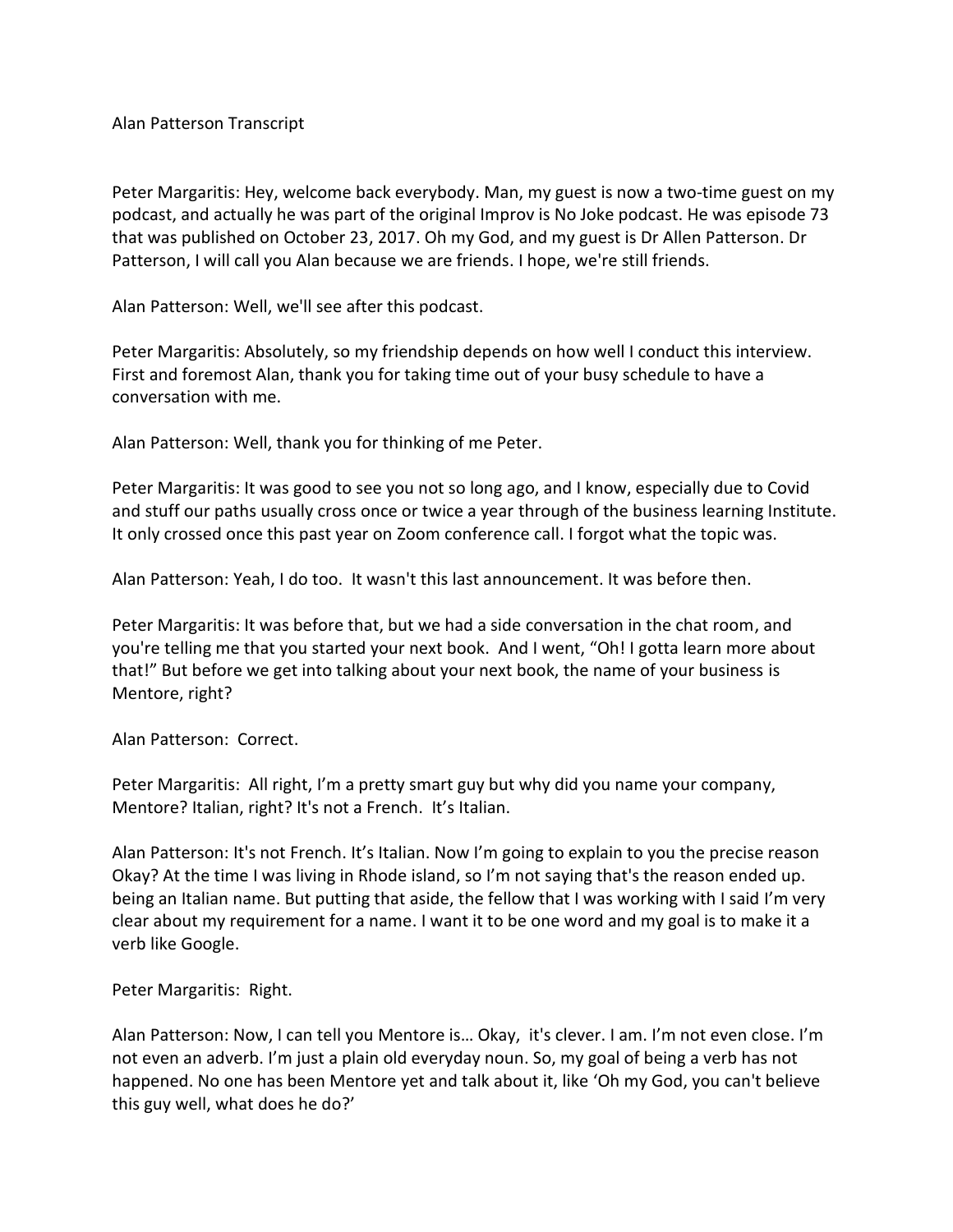Alan Patterson Transcript

Peter Margaritis: Hey, welcome back everybody. Man, my guest is now a two-time guest on my podcast, and actually he was part of the original Improv is No Joke podcast. He was episode 73 that was published on October 23, 2017. Oh my God, and my guest is Dr Allen Patterson. Dr Patterson, I will call you Alan because we are friends. I hope, we're still friends.

Alan Patterson: Well, we'll see after this podcast.

Peter Margaritis: Absolutely, so my friendship depends on how well I conduct this interview. First and foremost Alan, thank you for taking time out of your busy schedule to have a conversation with me.

Alan Patterson: Well, thank you for thinking of me Peter.

Peter Margaritis: It was good to see you not so long ago, and I know, especially due to Covid and stuff our paths usually cross once or twice a year through of the business learning Institute. It only crossed once this past year on Zoom conference call. I forgot what the topic was.

Alan Patterson: Yeah, I do too. It wasn't this last announcement. It was before then.

Peter Margaritis: It was before that, but we had a side conversation in the chat room, and you're telling me that you started your next book. And I went, "Oh! I gotta learn more about that!" But before we get into talking about your next book, the name of your business is Mentore, right?

Alan Patterson: Correct.

Peter Margaritis: All right, I'm a pretty smart guy but why did you name your company, Mentore? Italian, right? It's not a French. It's Italian.

Alan Patterson: It's not French. It's Italian. Now I'm going to explain to you the precise reason Okay? At the time I was living in Rhode island, so I'm not saying that's the reason ended up. being an Italian name. But putting that aside, the fellow that I was working with I said I'm very clear about my requirement for a name. I want it to be one word and my goal is to make it a verb like Google.

Peter Margaritis: Right.

Alan Patterson: Now, I can tell you Mentore is… Okay, it's clever. I am. I'm not even close. I'm not even an adverb. I'm just a plain old everyday noun. So, my goal of being a verb has not happened. No one has been Mentore yet and talk about it, like 'Oh my God, you can't believe this guy well, what does he do?'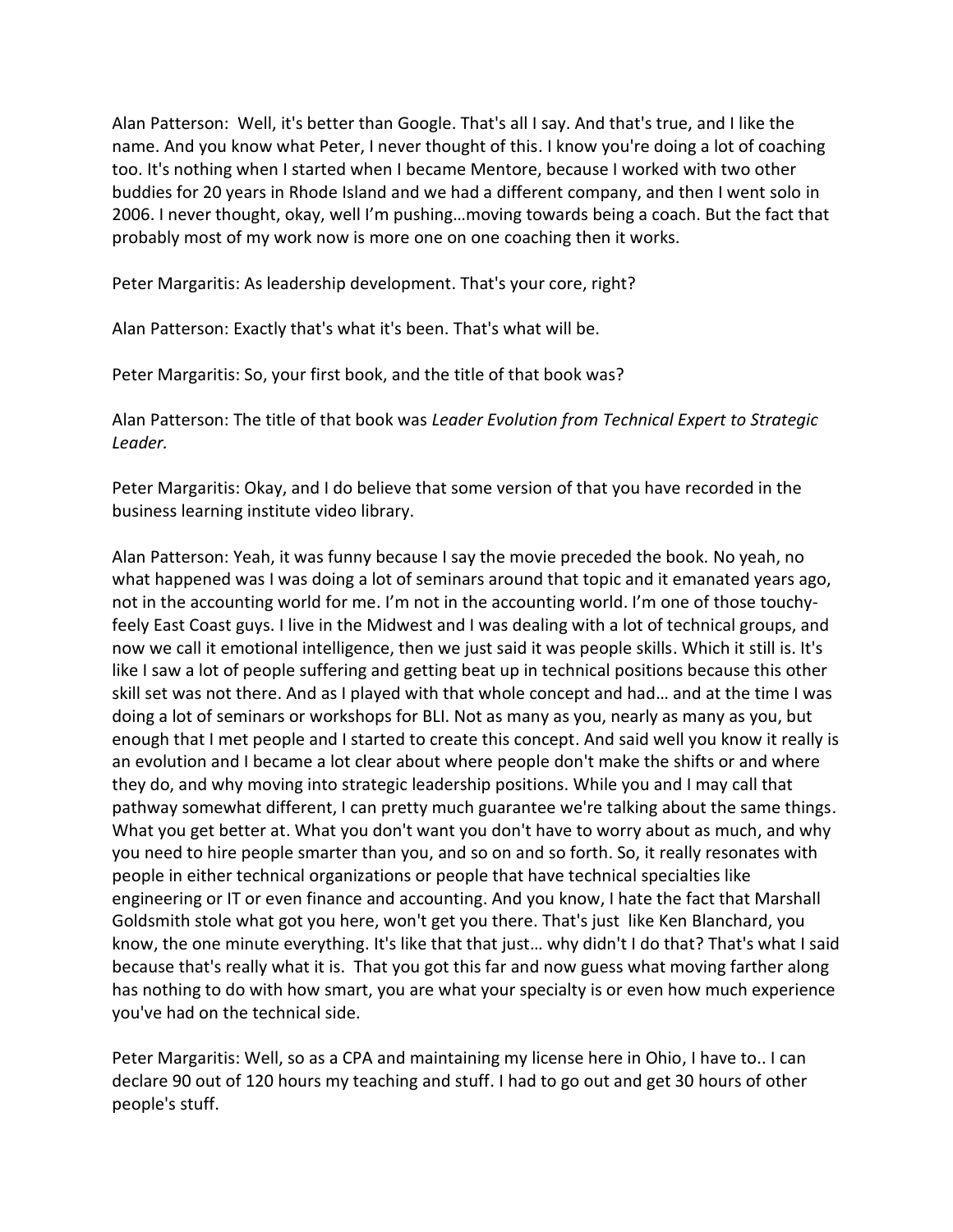Alan Patterson: Well, it's better than Google. That's all I say. And that's true, and I like the name. And you know what Peter, I never thought of this. I know you're doing a lot of coaching too. It's nothing when I started when I became Mentore, because I worked with two other buddies for 20 years in Rhode Island and we had a different company, and then I went solo in 2006. I never thought, okay, well I'm pushing…moving towards being a coach. But the fact that probably most of my work now is more one on one coaching then it works.

Peter Margaritis: As leadership development. That's your core, right?

Alan Patterson: Exactly that's what it's been. That's what will be.

Peter Margaritis: So, your first book, and the title of that book was?

Alan Patterson: The title of that book was *Leader Evolution from Technical Expert to Strategic Leader.*

Peter Margaritis: Okay, and I do believe that some version of that you have recorded in the business learning institute video library.

Alan Patterson: Yeah, it was funny because I say the movie preceded the book. No yeah, no what happened was I was doing a lot of seminars around that topic and it emanated years ago, not in the accounting world for me. I'm not in the accounting world. I'm one of those touchyfeely East Coast guys. I live in the Midwest and I was dealing with a lot of technical groups, and now we call it emotional intelligence, then we just said it was people skills. Which it still is. It's like I saw a lot of people suffering and getting beat up in technical positions because this other skill set was not there. And as I played with that whole concept and had… and at the time I was doing a lot of seminars or workshops for BLI. Not as many as you, nearly as many as you, but enough that I met people and I started to create this concept. And said well you know it really is an evolution and I became a lot clear about where people don't make the shifts or and where they do, and why moving into strategic leadership positions. While you and I may call that pathway somewhat different, I can pretty much guarantee we're talking about the same things. What you get better at. What you don't want you don't have to worry about as much, and why you need to hire people smarter than you, and so on and so forth. So, it really resonates with people in either technical organizations or people that have technical specialties like engineering or IT or even finance and accounting. And you know, I hate the fact that Marshall Goldsmith stole what got you here, won't get you there. That's just like Ken Blanchard, you know, the one minute everything. It's like that that just… why didn't I do that? That's what I said because that's really what it is. That you got this far and now guess what moving farther along has nothing to do with how smart, you are what your specialty is or even how much experience you've had on the technical side.

Peter Margaritis: Well, so as a CPA and maintaining my license here in Ohio, I have to.. I can declare 90 out of 120 hours my teaching and stuff. I had to go out and get 30 hours of other people's stuff.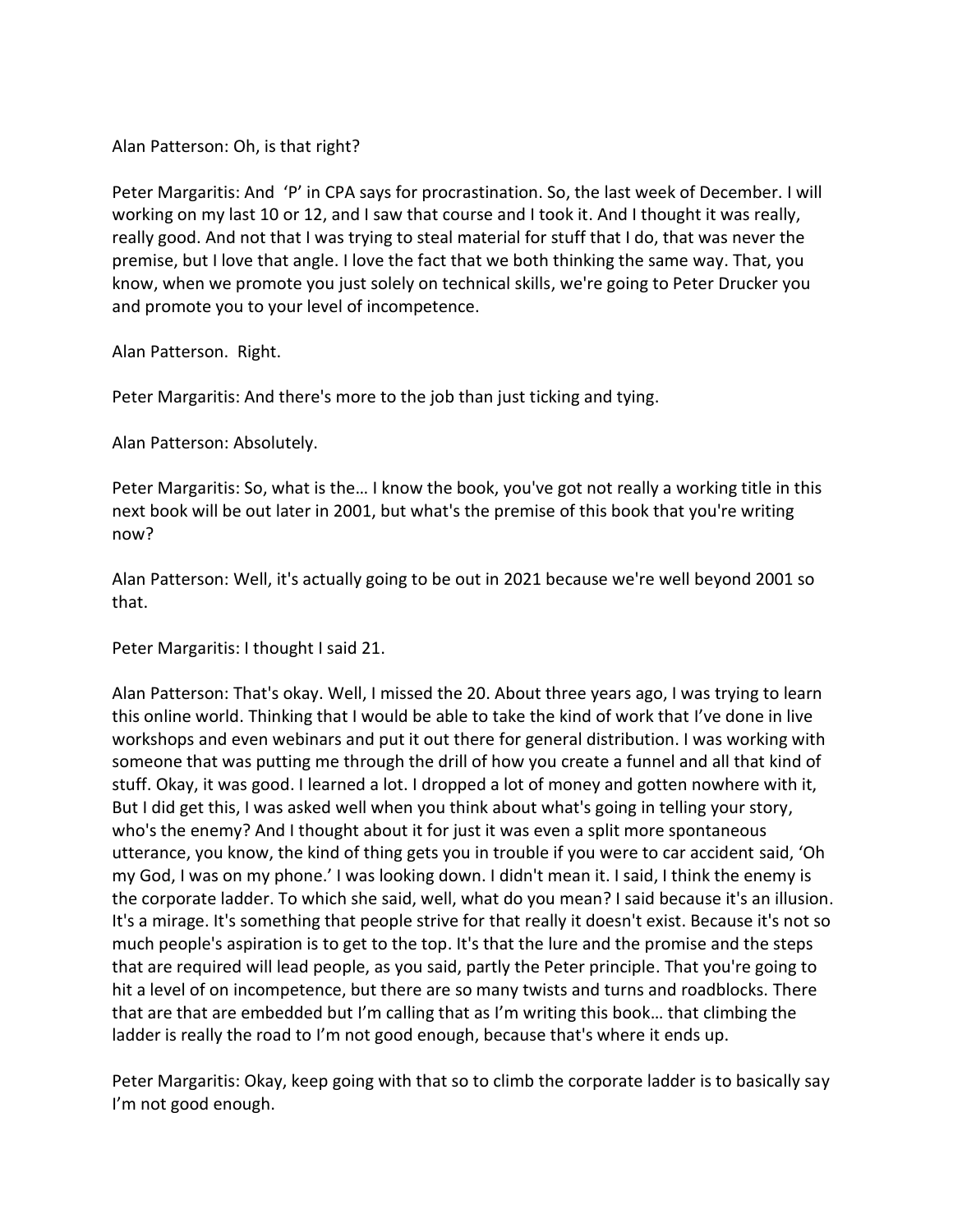Alan Patterson: Oh, is that right?

Peter Margaritis: And 'P' in CPA says for procrastination. So, the last week of December. I will working on my last 10 or 12, and I saw that course and I took it. And I thought it was really, really good. And not that I was trying to steal material for stuff that I do, that was never the premise, but I love that angle. I love the fact that we both thinking the same way. That, you know, when we promote you just solely on technical skills, we're going to Peter Drucker you and promote you to your level of incompetence.

Alan Patterson. Right.

Peter Margaritis: And there's more to the job than just ticking and tying.

Alan Patterson: Absolutely.

Peter Margaritis: So, what is the… I know the book, you've got not really a working title in this next book will be out later in 2001, but what's the premise of this book that you're writing now?

Alan Patterson: Well, it's actually going to be out in 2021 because we're well beyond 2001 so that.

Peter Margaritis: I thought I said 21.

Alan Patterson: That's okay. Well, I missed the 20. About three years ago, I was trying to learn this online world. Thinking that I would be able to take the kind of work that I've done in live workshops and even webinars and put it out there for general distribution. I was working with someone that was putting me through the drill of how you create a funnel and all that kind of stuff. Okay, it was good. I learned a lot. I dropped a lot of money and gotten nowhere with it, But I did get this, I was asked well when you think about what's going in telling your story, who's the enemy? And I thought about it for just it was even a split more spontaneous utterance, you know, the kind of thing gets you in trouble if you were to car accident said, 'Oh my God, I was on my phone.' I was looking down. I didn't mean it. I said, I think the enemy is the corporate ladder. To which she said, well, what do you mean? I said because it's an illusion. It's a mirage. It's something that people strive for that really it doesn't exist. Because it's not so much people's aspiration is to get to the top. It's that the lure and the promise and the steps that are required will lead people, as you said, partly the Peter principle. That you're going to hit a level of on incompetence, but there are so many twists and turns and roadblocks. There that are that are embedded but I'm calling that as I'm writing this book… that climbing the ladder is really the road to I'm not good enough, because that's where it ends up.

Peter Margaritis: Okay, keep going with that so to climb the corporate ladder is to basically say I'm not good enough.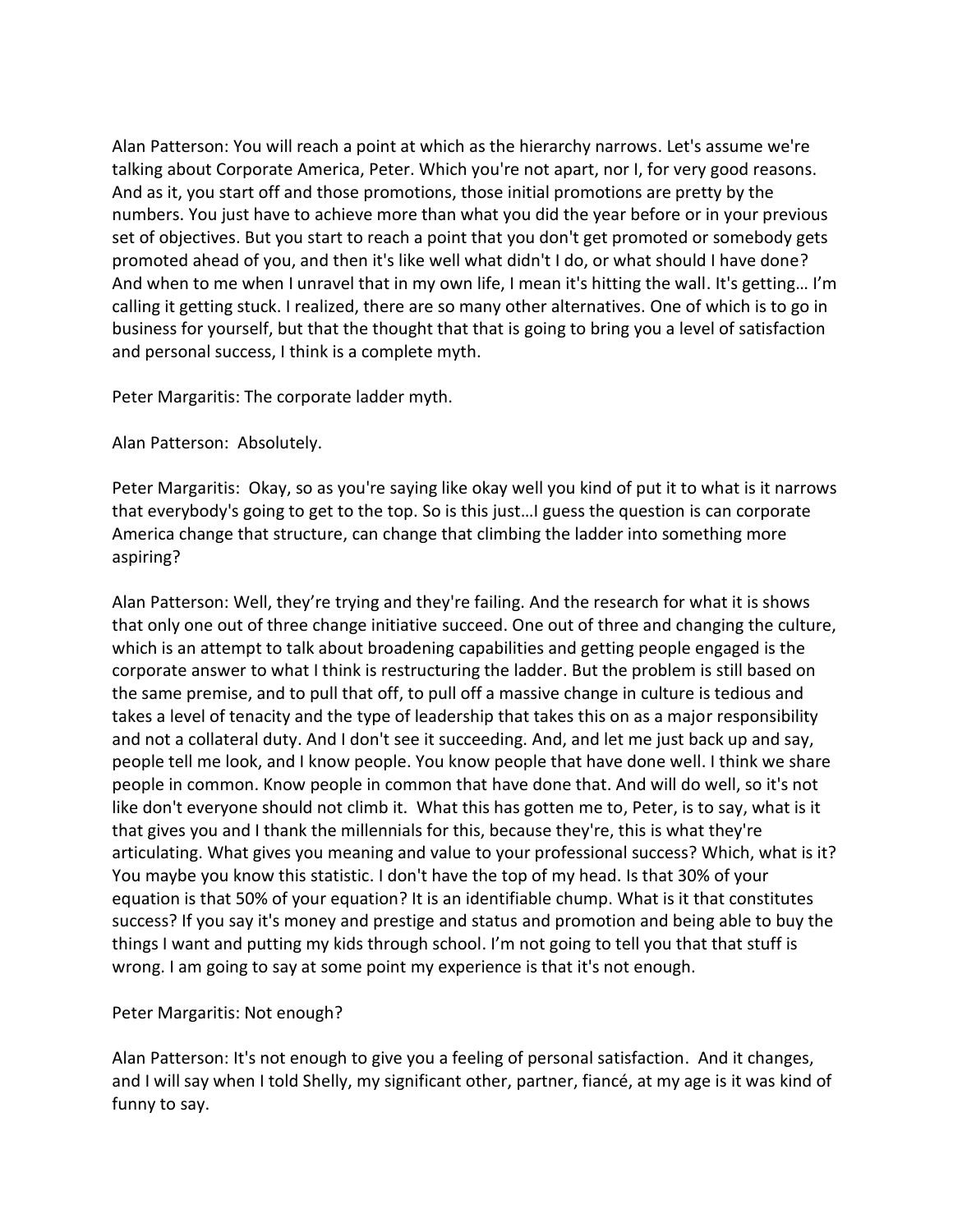Alan Patterson: You will reach a point at which as the hierarchy narrows. Let's assume we're talking about Corporate America, Peter. Which you're not apart, nor I, for very good reasons. And as it, you start off and those promotions, those initial promotions are pretty by the numbers. You just have to achieve more than what you did the year before or in your previous set of objectives. But you start to reach a point that you don't get promoted or somebody gets promoted ahead of you, and then it's like well what didn't I do, or what should I have done? And when to me when I unravel that in my own life, I mean it's hitting the wall. It's getting… I'm calling it getting stuck. I realized, there are so many other alternatives. One of which is to go in business for yourself, but that the thought that that is going to bring you a level of satisfaction and personal success, I think is a complete myth.

Peter Margaritis: The corporate ladder myth.

Alan Patterson: Absolutely.

Peter Margaritis: Okay, so as you're saying like okay well you kind of put it to what is it narrows that everybody's going to get to the top. So is this just…I guess the question is can corporate America change that structure, can change that climbing the ladder into something more aspiring?

Alan Patterson: Well, they're trying and they're failing. And the research for what it is shows that only one out of three change initiative succeed. One out of three and changing the culture, which is an attempt to talk about broadening capabilities and getting people engaged is the corporate answer to what I think is restructuring the ladder. But the problem is still based on the same premise, and to pull that off, to pull off a massive change in culture is tedious and takes a level of tenacity and the type of leadership that takes this on as a major responsibility and not a collateral duty. And I don't see it succeeding. And, and let me just back up and say, people tell me look, and I know people. You know people that have done well. I think we share people in common. Know people in common that have done that. And will do well, so it's not like don't everyone should not climb it. What this has gotten me to, Peter, is to say, what is it that gives you and I thank the millennials for this, because they're, this is what they're articulating. What gives you meaning and value to your professional success? Which, what is it? You maybe you know this statistic. I don't have the top of my head. Is that 30% of your equation is that 50% of your equation? It is an identifiable chump. What is it that constitutes success? If you say it's money and prestige and status and promotion and being able to buy the things I want and putting my kids through school. I'm not going to tell you that that stuff is wrong. I am going to say at some point my experience is that it's not enough.

# Peter Margaritis: Not enough?

Alan Patterson: It's not enough to give you a feeling of personal satisfaction. And it changes, and I will say when I told Shelly, my significant other, partner, fiancé, at my age is it was kind of funny to say.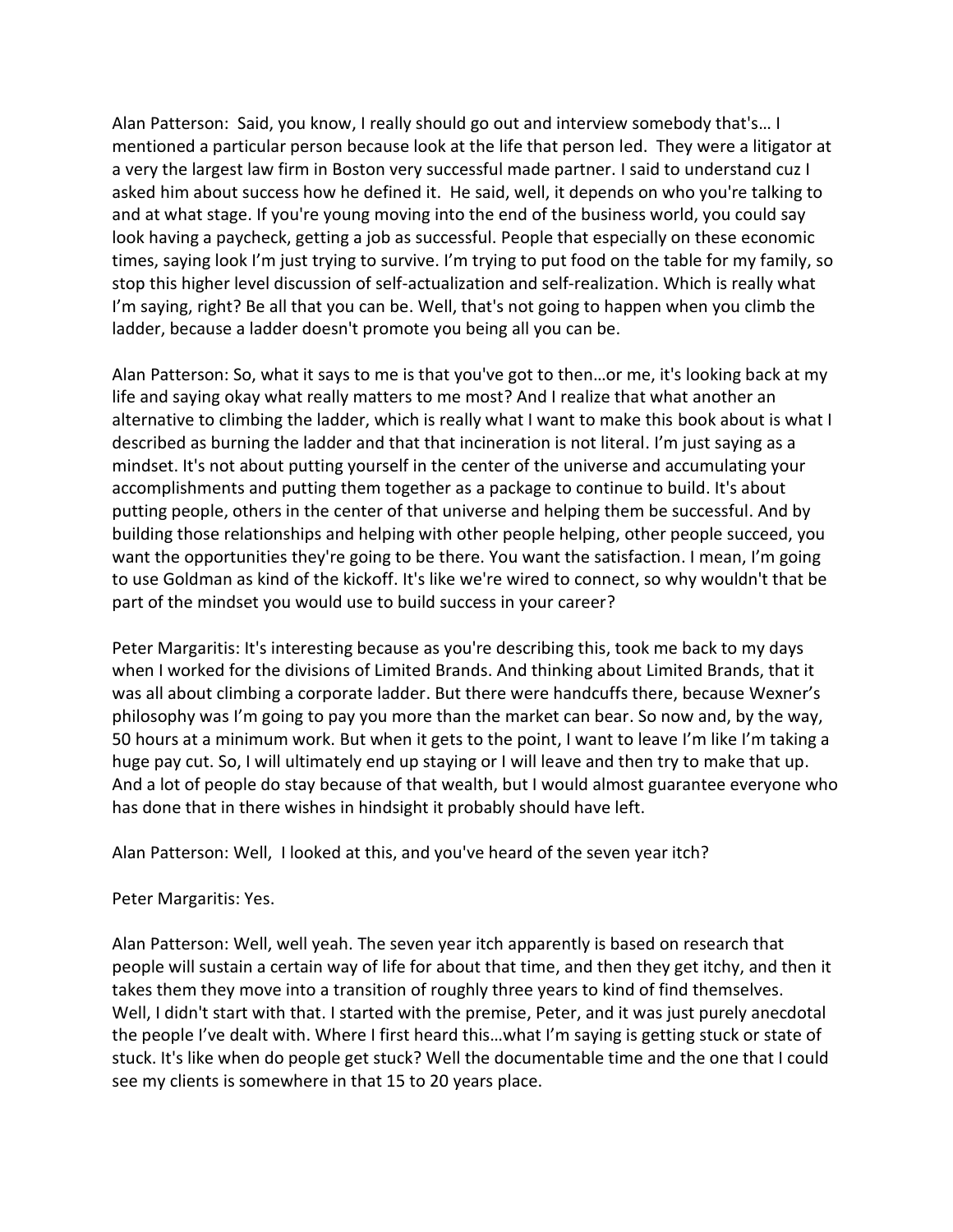Alan Patterson: Said, you know, I really should go out and interview somebody that's… I mentioned a particular person because look at the life that person led. They were a litigator at a very the largest law firm in Boston very successful made partner. I said to understand cuz I asked him about success how he defined it. He said, well, it depends on who you're talking to and at what stage. If you're young moving into the end of the business world, you could say look having a paycheck, getting a job as successful. People that especially on these economic times, saying look I'm just trying to survive. I'm trying to put food on the table for my family, so stop this higher level discussion of self-actualization and self-realization. Which is really what I'm saying, right? Be all that you can be. Well, that's not going to happen when you climb the ladder, because a ladder doesn't promote you being all you can be.

Alan Patterson: So, what it says to me is that you've got to then…or me, it's looking back at my life and saying okay what really matters to me most? And I realize that what another an alternative to climbing the ladder, which is really what I want to make this book about is what I described as burning the ladder and that that incineration is not literal. I'm just saying as a mindset. It's not about putting yourself in the center of the universe and accumulating your accomplishments and putting them together as a package to continue to build. It's about putting people, others in the center of that universe and helping them be successful. And by building those relationships and helping with other people helping, other people succeed, you want the opportunities they're going to be there. You want the satisfaction. I mean, I'm going to use Goldman as kind of the kickoff. It's like we're wired to connect, so why wouldn't that be part of the mindset you would use to build success in your career?

Peter Margaritis: It's interesting because as you're describing this, took me back to my days when I worked for the divisions of Limited Brands. And thinking about Limited Brands, that it was all about climbing a corporate ladder. But there were handcuffs there, because Wexner's philosophy was I'm going to pay you more than the market can bear. So now and, by the way, 50 hours at a minimum work. But when it gets to the point, I want to leave I'm like I'm taking a huge pay cut. So, I will ultimately end up staying or I will leave and then try to make that up. And a lot of people do stay because of that wealth, but I would almost guarantee everyone who has done that in there wishes in hindsight it probably should have left.

Alan Patterson: Well, I looked at this, and you've heard of the seven year itch?

## Peter Margaritis: Yes.

Alan Patterson: Well, well yeah. The seven year itch apparently is based on research that people will sustain a certain way of life for about that time, and then they get itchy, and then it takes them they move into a transition of roughly three years to kind of find themselves. Well, I didn't start with that. I started with the premise, Peter, and it was just purely anecdotal the people I've dealt with. Where I first heard this…what I'm saying is getting stuck or state of stuck. It's like when do people get stuck? Well the documentable time and the one that I could see my clients is somewhere in that 15 to 20 years place.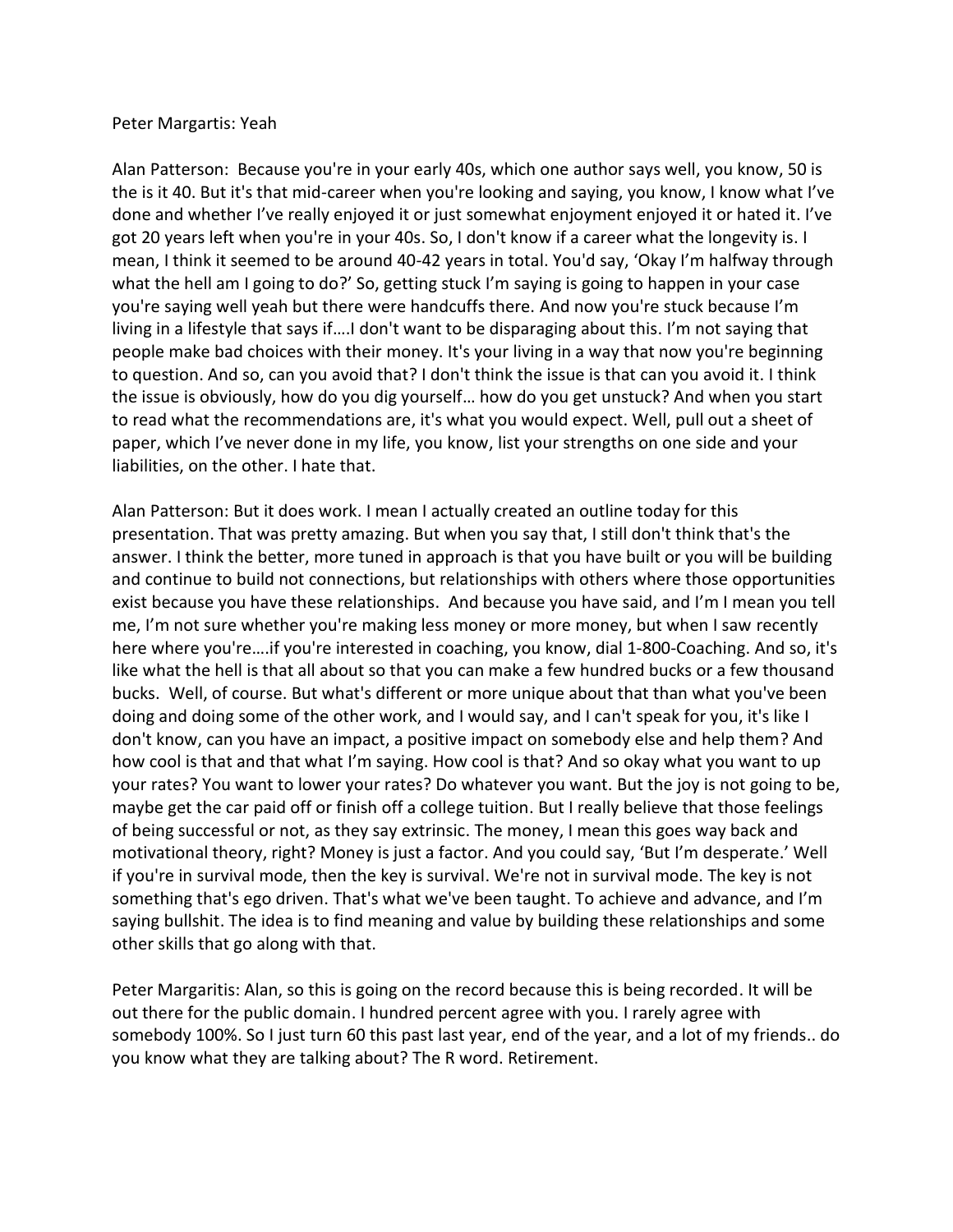### Peter Margartis: Yeah

Alan Patterson: Because you're in your early 40s, which one author says well, you know, 50 is the is it 40. But it's that mid-career when you're looking and saying, you know, I know what I've done and whether I've really enjoyed it or just somewhat enjoyment enjoyed it or hated it. I've got 20 years left when you're in your 40s. So, I don't know if a career what the longevity is. I mean, I think it seemed to be around 40-42 years in total. You'd say, 'Okay I'm halfway through what the hell am I going to do?' So, getting stuck I'm saying is going to happen in your case you're saying well yeah but there were handcuffs there. And now you're stuck because I'm living in a lifestyle that says if….I don't want to be disparaging about this. I'm not saying that people make bad choices with their money. It's your living in a way that now you're beginning to question. And so, can you avoid that? I don't think the issue is that can you avoid it. I think the issue is obviously, how do you dig yourself… how do you get unstuck? And when you start to read what the recommendations are, it's what you would expect. Well, pull out a sheet of paper, which I've never done in my life, you know, list your strengths on one side and your liabilities, on the other. I hate that.

Alan Patterson: But it does work. I mean I actually created an outline today for this presentation. That was pretty amazing. But when you say that, I still don't think that's the answer. I think the better, more tuned in approach is that you have built or you will be building and continue to build not connections, but relationships with others where those opportunities exist because you have these relationships. And because you have said, and I'm I mean you tell me, I'm not sure whether you're making less money or more money, but when I saw recently here where you're….if you're interested in coaching, you know, dial 1-800-Coaching. And so, it's like what the hell is that all about so that you can make a few hundred bucks or a few thousand bucks. Well, of course. But what's different or more unique about that than what you've been doing and doing some of the other work, and I would say, and I can't speak for you, it's like I don't know, can you have an impact, a positive impact on somebody else and help them? And how cool is that and that what I'm saying. How cool is that? And so okay what you want to up your rates? You want to lower your rates? Do whatever you want. But the joy is not going to be, maybe get the car paid off or finish off a college tuition. But I really believe that those feelings of being successful or not, as they say extrinsic. The money, I mean this goes way back and motivational theory, right? Money is just a factor. And you could say, 'But I'm desperate.' Well if you're in survival mode, then the key is survival. We're not in survival mode. The key is not something that's ego driven. That's what we've been taught. To achieve and advance, and I'm saying bullshit. The idea is to find meaning and value by building these relationships and some other skills that go along with that.

Peter Margaritis: Alan, so this is going on the record because this is being recorded. It will be out there for the public domain. I hundred percent agree with you. I rarely agree with somebody 100%. So I just turn 60 this past last year, end of the year, and a lot of my friends.. do you know what they are talking about? The R word. Retirement.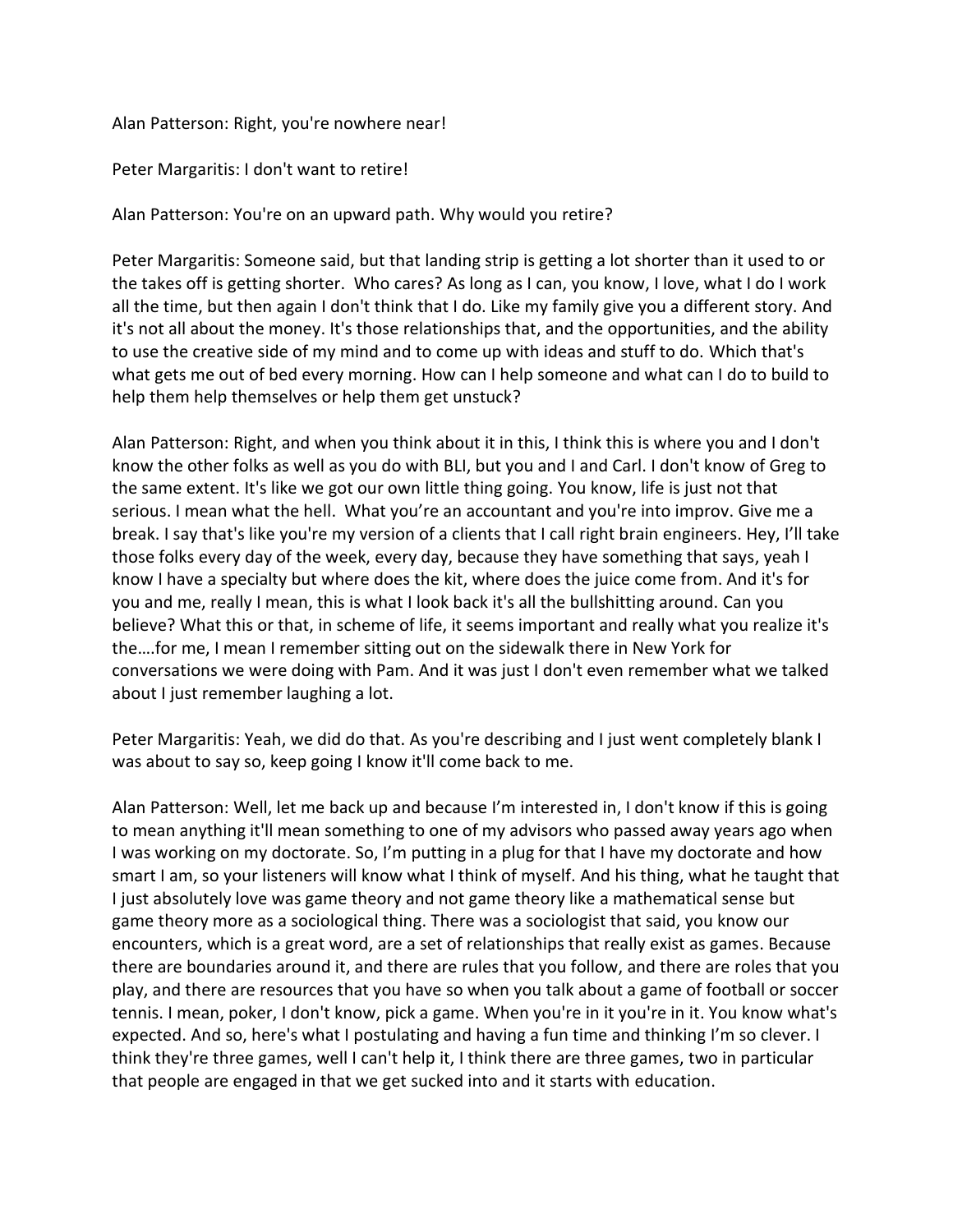Alan Patterson: Right, you're nowhere near!

Peter Margaritis: I don't want to retire!

Alan Patterson: You're on an upward path. Why would you retire?

Peter Margaritis: Someone said, but that landing strip is getting a lot shorter than it used to or the takes off is getting shorter. Who cares? As long as I can, you know, I love, what I do I work all the time, but then again I don't think that I do. Like my family give you a different story. And it's not all about the money. It's those relationships that, and the opportunities, and the ability to use the creative side of my mind and to come up with ideas and stuff to do. Which that's what gets me out of bed every morning. How can I help someone and what can I do to build to help them help themselves or help them get unstuck?

Alan Patterson: Right, and when you think about it in this, I think this is where you and I don't know the other folks as well as you do with BLI, but you and I and Carl. I don't know of Greg to the same extent. It's like we got our own little thing going. You know, life is just not that serious. I mean what the hell. What you're an accountant and you're into improv. Give me a break. I say that's like you're my version of a clients that I call right brain engineers. Hey, I'll take those folks every day of the week, every day, because they have something that says, yeah I know I have a specialty but where does the kit, where does the juice come from. And it's for you and me, really I mean, this is what I look back it's all the bullshitting around. Can you believe? What this or that, in scheme of life, it seems important and really what you realize it's the….for me, I mean I remember sitting out on the sidewalk there in New York for conversations we were doing with Pam. And it was just I don't even remember what we talked about I just remember laughing a lot.

Peter Margaritis: Yeah, we did do that. As you're describing and I just went completely blank I was about to say so, keep going I know it'll come back to me.

Alan Patterson: Well, let me back up and because I'm interested in, I don't know if this is going to mean anything it'll mean something to one of my advisors who passed away years ago when I was working on my doctorate. So, I'm putting in a plug for that I have my doctorate and how smart I am, so your listeners will know what I think of myself. And his thing, what he taught that I just absolutely love was game theory and not game theory like a mathematical sense but game theory more as a sociological thing. There was a sociologist that said, you know our encounters, which is a great word, are a set of relationships that really exist as games. Because there are boundaries around it, and there are rules that you follow, and there are roles that you play, and there are resources that you have so when you talk about a game of football or soccer tennis. I mean, poker, I don't know, pick a game. When you're in it you're in it. You know what's expected. And so, here's what I postulating and having a fun time and thinking I'm so clever. I think they're three games, well I can't help it, I think there are three games, two in particular that people are engaged in that we get sucked into and it starts with education.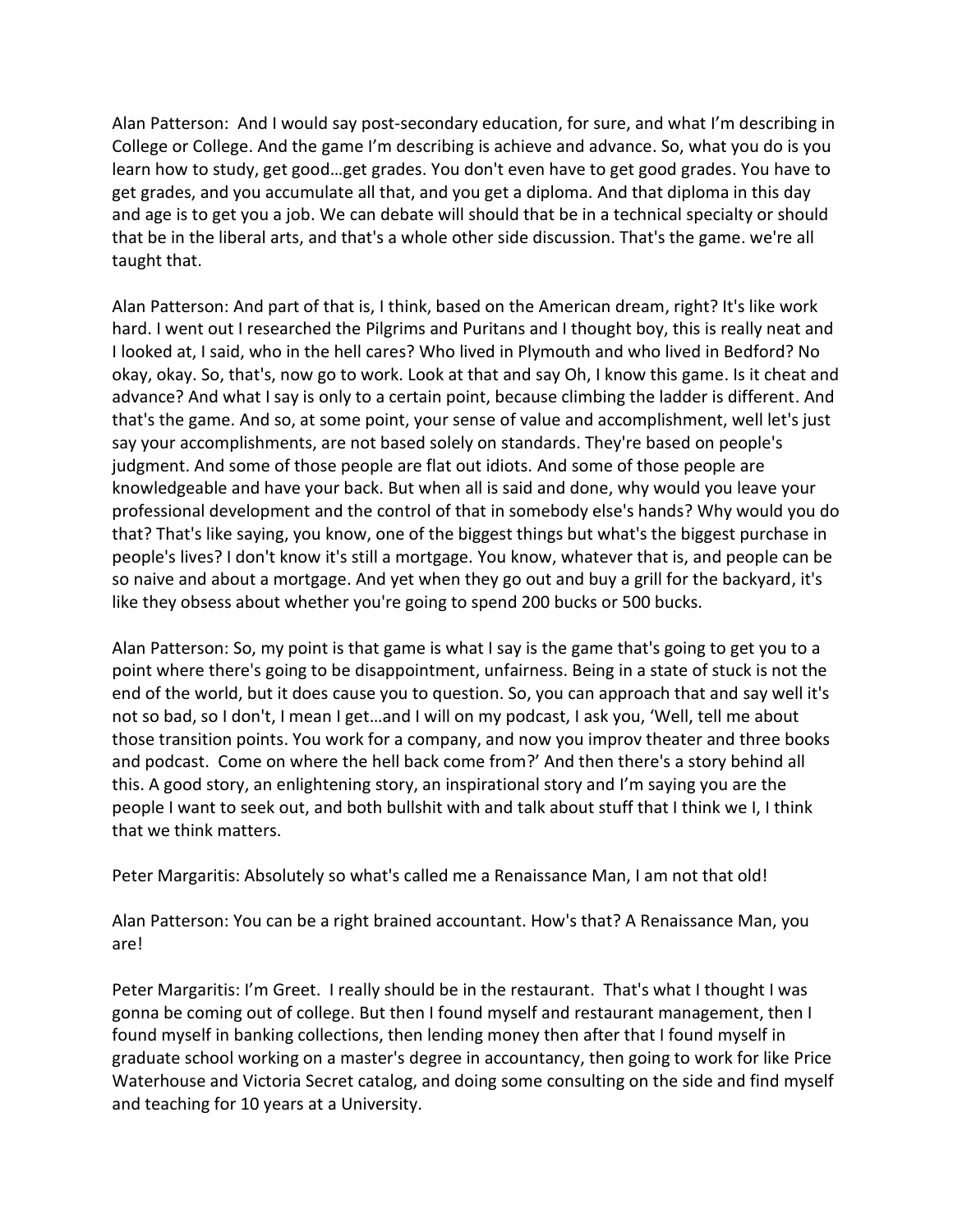Alan Patterson: And I would say post-secondary education, for sure, and what I'm describing in College or College. And the game I'm describing is achieve and advance. So, what you do is you learn how to study, get good…get grades. You don't even have to get good grades. You have to get grades, and you accumulate all that, and you get a diploma. And that diploma in this day and age is to get you a job. We can debate will should that be in a technical specialty or should that be in the liberal arts, and that's a whole other side discussion. That's the game. we're all taught that.

Alan Patterson: And part of that is, I think, based on the American dream, right? It's like work hard. I went out I researched the Pilgrims and Puritans and I thought boy, this is really neat and I looked at, I said, who in the hell cares? Who lived in Plymouth and who lived in Bedford? No okay, okay. So, that's, now go to work. Look at that and say Oh, I know this game. Is it cheat and advance? And what I say is only to a certain point, because climbing the ladder is different. And that's the game. And so, at some point, your sense of value and accomplishment, well let's just say your accomplishments, are not based solely on standards. They're based on people's judgment. And some of those people are flat out idiots. And some of those people are knowledgeable and have your back. But when all is said and done, why would you leave your professional development and the control of that in somebody else's hands? Why would you do that? That's like saying, you know, one of the biggest things but what's the biggest purchase in people's lives? I don't know it's still a mortgage. You know, whatever that is, and people can be so naive and about a mortgage. And yet when they go out and buy a grill for the backyard, it's like they obsess about whether you're going to spend 200 bucks or 500 bucks.

Alan Patterson: So, my point is that game is what I say is the game that's going to get you to a point where there's going to be disappointment, unfairness. Being in a state of stuck is not the end of the world, but it does cause you to question. So, you can approach that and say well it's not so bad, so I don't, I mean I get…and I will on my podcast, I ask you, 'Well, tell me about those transition points. You work for a company, and now you improv theater and three books and podcast. Come on where the hell back come from?' And then there's a story behind all this. A good story, an enlightening story, an inspirational story and I'm saying you are the people I want to seek out, and both bullshit with and talk about stuff that I think we I, I think that we think matters.

Peter Margaritis: Absolutely so what's called me a Renaissance Man, I am not that old!

Alan Patterson: You can be a right brained accountant. How's that? A Renaissance Man, you are!

Peter Margaritis: I'm Greet. I really should be in the restaurant. That's what I thought I was gonna be coming out of college. But then I found myself and restaurant management, then I found myself in banking collections, then lending money then after that I found myself in graduate school working on a master's degree in accountancy, then going to work for like Price Waterhouse and Victoria Secret catalog, and doing some consulting on the side and find myself and teaching for 10 years at a University.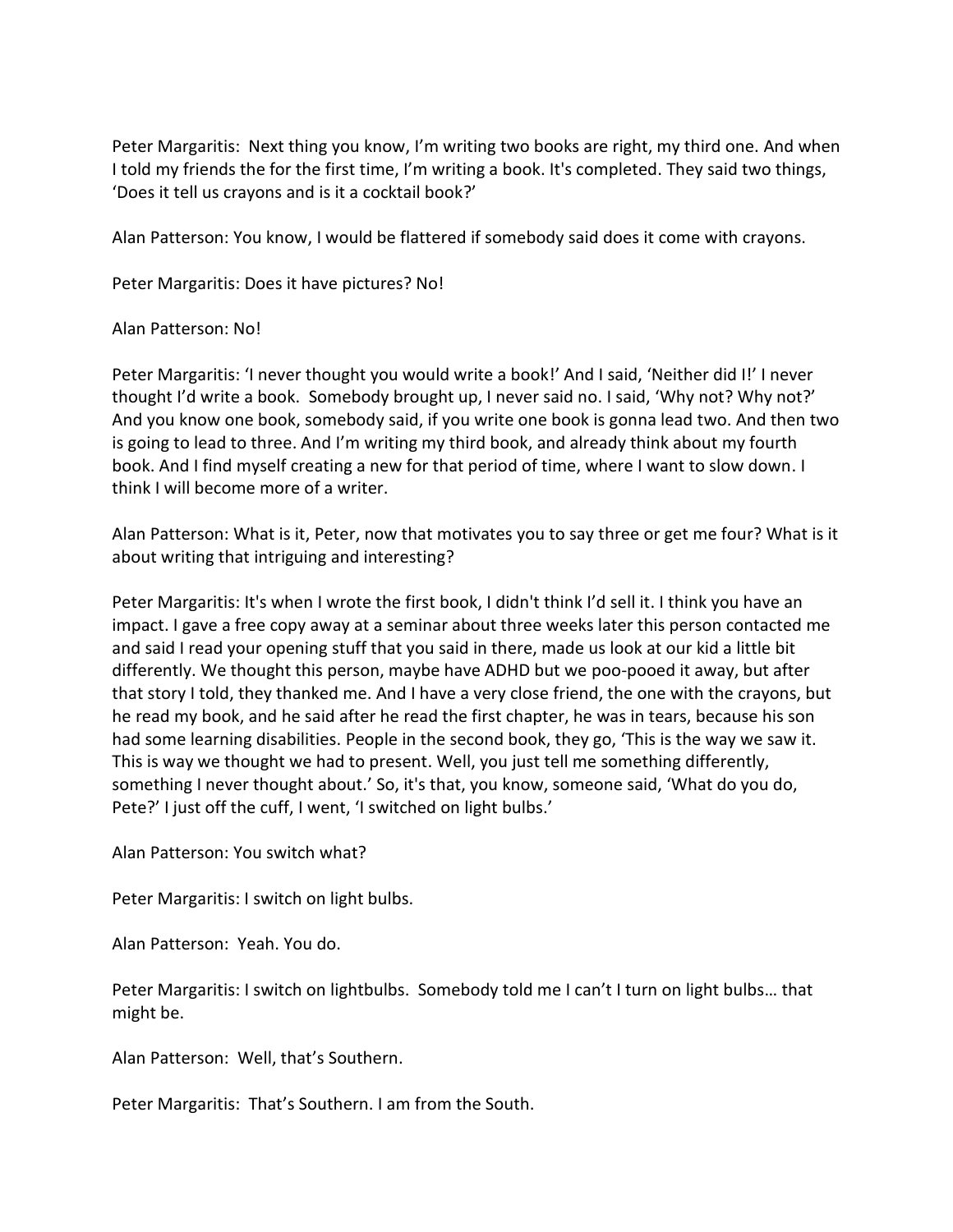Peter Margaritis: Next thing you know, I'm writing two books are right, my third one. And when I told my friends the for the first time, I'm writing a book. It's completed. They said two things, 'Does it tell us crayons and is it a cocktail book?'

Alan Patterson: You know, I would be flattered if somebody said does it come with crayons.

Peter Margaritis: Does it have pictures? No!

## Alan Patterson: No!

Peter Margaritis: 'I never thought you would write a book!' And I said, 'Neither did I!' I never thought I'd write a book. Somebody brought up, I never said no. I said, 'Why not? Why not?' And you know one book, somebody said, if you write one book is gonna lead two. And then two is going to lead to three. And I'm writing my third book, and already think about my fourth book. And I find myself creating a new for that period of time, where I want to slow down. I think I will become more of a writer.

Alan Patterson: What is it, Peter, now that motivates you to say three or get me four? What is it about writing that intriguing and interesting?

Peter Margaritis: It's when I wrote the first book, I didn't think I'd sell it. I think you have an impact. I gave a free copy away at a seminar about three weeks later this person contacted me and said I read your opening stuff that you said in there, made us look at our kid a little bit differently. We thought this person, maybe have ADHD but we poo-pooed it away, but after that story I told, they thanked me. And I have a very close friend, the one with the crayons, but he read my book, and he said after he read the first chapter, he was in tears, because his son had some learning disabilities. People in the second book, they go, 'This is the way we saw it. This is way we thought we had to present. Well, you just tell me something differently, something I never thought about.' So, it's that, you know, someone said, 'What do you do, Pete?' I just off the cuff, I went, 'I switched on light bulbs.'

Alan Patterson: You switch what?

Peter Margaritis: I switch on light bulbs.

Alan Patterson: Yeah. You do.

Peter Margaritis: I switch on lightbulbs. Somebody told me I can't I turn on light bulbs… that might be.

Alan Patterson: Well, that's Southern.

Peter Margaritis: That's Southern. I am from the South.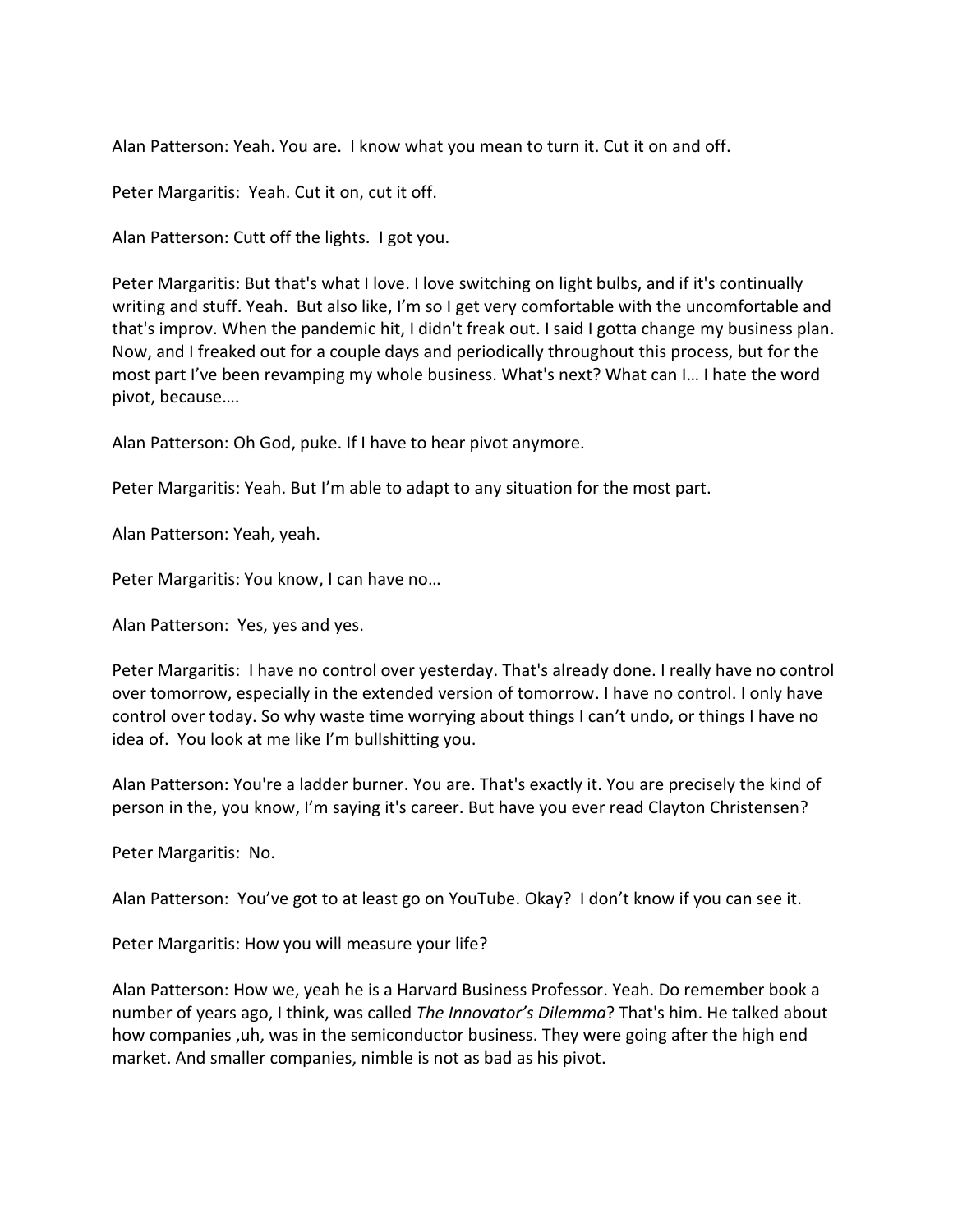Alan Patterson: Yeah. You are. I know what you mean to turn it. Cut it on and off.

Peter Margaritis: Yeah. Cut it on, cut it off.

Alan Patterson: Cutt off the lights. I got you.

Peter Margaritis: But that's what I love. I love switching on light bulbs, and if it's continually writing and stuff. Yeah. But also like, I'm so I get very comfortable with the uncomfortable and that's improv. When the pandemic hit, I didn't freak out. I said I gotta change my business plan. Now, and I freaked out for a couple days and periodically throughout this process, but for the most part I've been revamping my whole business. What's next? What can I… I hate the word pivot, because….

Alan Patterson: Oh God, puke. If I have to hear pivot anymore.

Peter Margaritis: Yeah. But I'm able to adapt to any situation for the most part.

Alan Patterson: Yeah, yeah.

Peter Margaritis: You know, I can have no…

Alan Patterson: Yes, yes and yes.

Peter Margaritis: I have no control over yesterday. That's already done. I really have no control over tomorrow, especially in the extended version of tomorrow. I have no control. I only have control over today. So why waste time worrying about things I can't undo, or things I have no idea of. You look at me like I'm bullshitting you.

Alan Patterson: You're a ladder burner. You are. That's exactly it. You are precisely the kind of person in the, you know, I'm saying it's career. But have you ever read Clayton Christensen?

Peter Margaritis: No.

Alan Patterson: You've got to at least go on YouTube. Okay? I don't know if you can see it.

Peter Margaritis: How you will measure your life?

Alan Patterson: How we, yeah he is a Harvard Business Professor. Yeah. Do remember book a number of years ago, I think, was called *The Innovator's Dilemma*? That's him. He talked about how companies ,uh, was in the semiconductor business. They were going after the high end market. And smaller companies, nimble is not as bad as his pivot.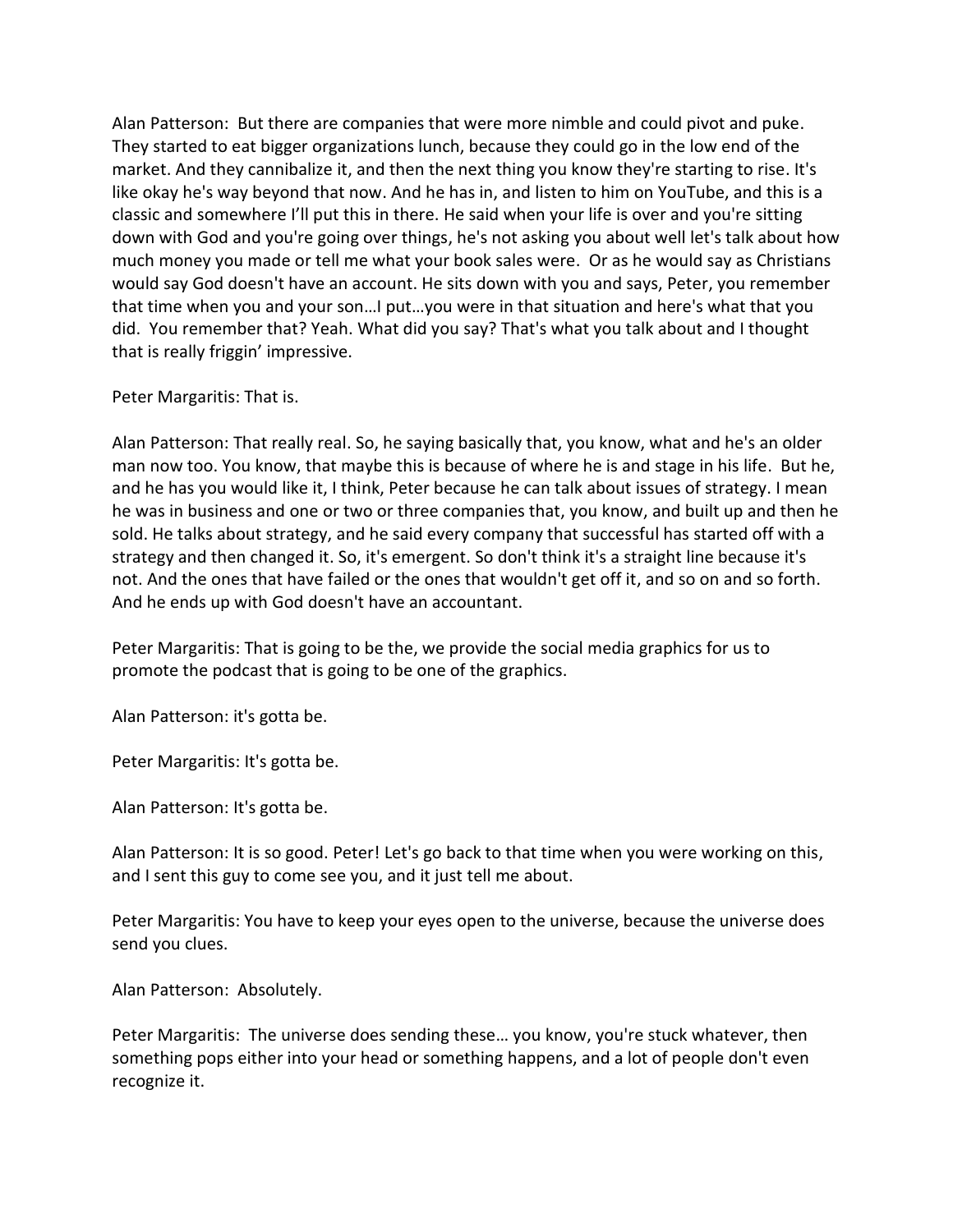Alan Patterson: But there are companies that were more nimble and could pivot and puke. They started to eat bigger organizations lunch, because they could go in the low end of the market. And they cannibalize it, and then the next thing you know they're starting to rise. It's like okay he's way beyond that now. And he has in, and listen to him on YouTube, and this is a classic and somewhere I'll put this in there. He said when your life is over and you're sitting down with God and you're going over things, he's not asking you about well let's talk about how much money you made or tell me what your book sales were. Or as he would say as Christians would say God doesn't have an account. He sits down with you and says, Peter, you remember that time when you and your son…I put…you were in that situation and here's what that you did. You remember that? Yeah. What did you say? That's what you talk about and I thought that is really friggin' impressive.

## Peter Margaritis: That is.

Alan Patterson: That really real. So, he saying basically that, you know, what and he's an older man now too. You know, that maybe this is because of where he is and stage in his life. But he, and he has you would like it, I think, Peter because he can talk about issues of strategy. I mean he was in business and one or two or three companies that, you know, and built up and then he sold. He talks about strategy, and he said every company that successful has started off with a strategy and then changed it. So, it's emergent. So don't think it's a straight line because it's not. And the ones that have failed or the ones that wouldn't get off it, and so on and so forth. And he ends up with God doesn't have an accountant.

Peter Margaritis: That is going to be the, we provide the social media graphics for us to promote the podcast that is going to be one of the graphics.

Alan Patterson: it's gotta be.

Peter Margaritis: It's gotta be.

Alan Patterson: It's gotta be.

Alan Patterson: It is so good. Peter! Let's go back to that time when you were working on this, and I sent this guy to come see you, and it just tell me about.

Peter Margaritis: You have to keep your eyes open to the universe, because the universe does send you clues.

Alan Patterson: Absolutely.

Peter Margaritis: The universe does sending these… you know, you're stuck whatever, then something pops either into your head or something happens, and a lot of people don't even recognize it.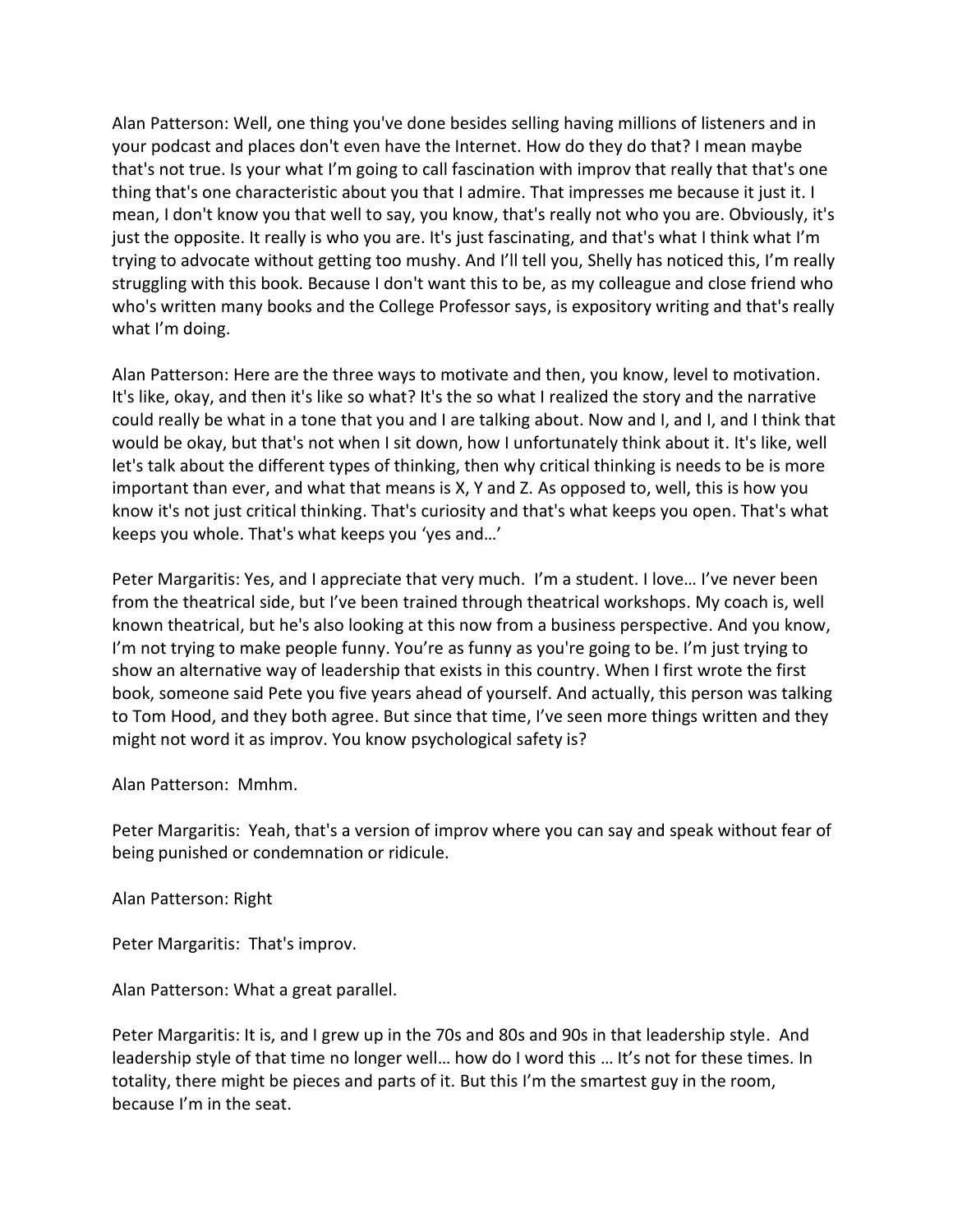Alan Patterson: Well, one thing you've done besides selling having millions of listeners and in your podcast and places don't even have the Internet. How do they do that? I mean maybe that's not true. Is your what I'm going to call fascination with improv that really that that's one thing that's one characteristic about you that I admire. That impresses me because it just it. I mean, I don't know you that well to say, you know, that's really not who you are. Obviously, it's just the opposite. It really is who you are. It's just fascinating, and that's what I think what I'm trying to advocate without getting too mushy. And I'll tell you, Shelly has noticed this, I'm really struggling with this book. Because I don't want this to be, as my colleague and close friend who who's written many books and the College Professor says, is expository writing and that's really what I'm doing.

Alan Patterson: Here are the three ways to motivate and then, you know, level to motivation. It's like, okay, and then it's like so what? It's the so what I realized the story and the narrative could really be what in a tone that you and I are talking about. Now and I, and I, and I think that would be okay, but that's not when I sit down, how I unfortunately think about it. It's like, well let's talk about the different types of thinking, then why critical thinking is needs to be is more important than ever, and what that means is X, Y and Z. As opposed to, well, this is how you know it's not just critical thinking. That's curiosity and that's what keeps you open. That's what keeps you whole. That's what keeps you 'yes and…'

Peter Margaritis: Yes, and I appreciate that very much. I'm a student. I love… I've never been from the theatrical side, but I've been trained through theatrical workshops. My coach is, well known theatrical, but he's also looking at this now from a business perspective. And you know, I'm not trying to make people funny. You're as funny as you're going to be. I'm just trying to show an alternative way of leadership that exists in this country. When I first wrote the first book, someone said Pete you five years ahead of yourself. And actually, this person was talking to Tom Hood, and they both agree. But since that time, I've seen more things written and they might not word it as improv. You know psychological safety is?

Alan Patterson: Mmhm.

Peter Margaritis: Yeah, that's a version of improv where you can say and speak without fear of being punished or condemnation or ridicule.

Alan Patterson: Right

Peter Margaritis: That's improv.

Alan Patterson: What a great parallel.

Peter Margaritis: It is, and I grew up in the 70s and 80s and 90s in that leadership style. And leadership style of that time no longer well... how do I word this ... It's not for these times. In totality, there might be pieces and parts of it. But this I'm the smartest guy in the room, because I'm in the seat.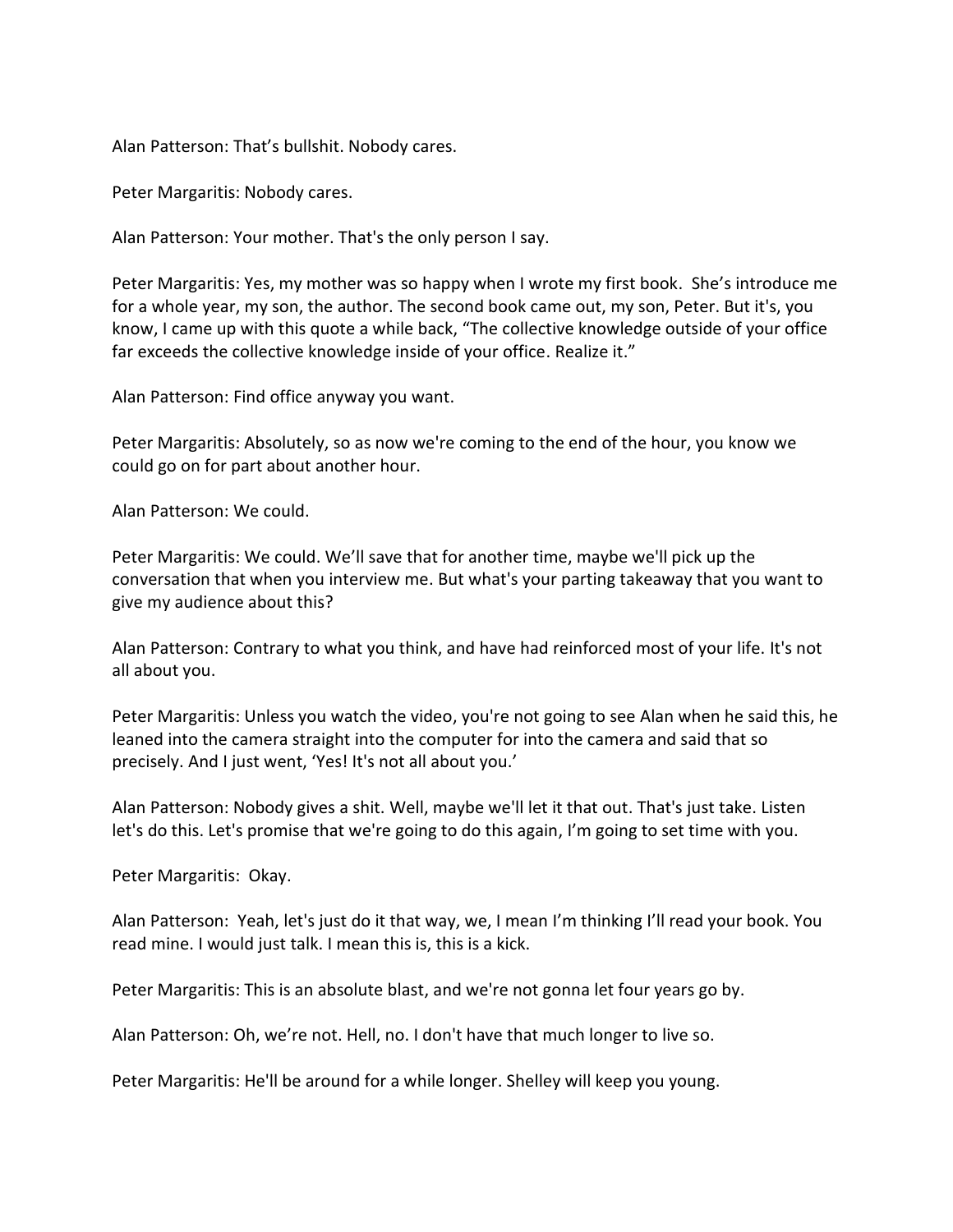Alan Patterson: That's bullshit. Nobody cares.

Peter Margaritis: Nobody cares.

Alan Patterson: Your mother. That's the only person I say.

Peter Margaritis: Yes, my mother was so happy when I wrote my first book. She's introduce me for a whole year, my son, the author. The second book came out, my son, Peter. But it's, you know, I came up with this quote a while back, "The collective knowledge outside of your office far exceeds the collective knowledge inside of your office. Realize it."

Alan Patterson: Find office anyway you want.

Peter Margaritis: Absolutely, so as now we're coming to the end of the hour, you know we could go on for part about another hour.

Alan Patterson: We could.

Peter Margaritis: We could. We'll save that for another time, maybe we'll pick up the conversation that when you interview me. But what's your parting takeaway that you want to give my audience about this?

Alan Patterson: Contrary to what you think, and have had reinforced most of your life. It's not all about you.

Peter Margaritis: Unless you watch the video, you're not going to see Alan when he said this, he leaned into the camera straight into the computer for into the camera and said that so precisely. And I just went, 'Yes! It's not all about you.'

Alan Patterson: Nobody gives a shit. Well, maybe we'll let it that out. That's just take. Listen let's do this. Let's promise that we're going to do this again, I'm going to set time with you.

Peter Margaritis: Okay.

Alan Patterson: Yeah, let's just do it that way, we, I mean I'm thinking I'll read your book. You read mine. I would just talk. I mean this is, this is a kick.

Peter Margaritis: This is an absolute blast, and we're not gonna let four years go by.

Alan Patterson: Oh, we're not. Hell, no. I don't have that much longer to live so.

Peter Margaritis: He'll be around for a while longer. Shelley will keep you young.